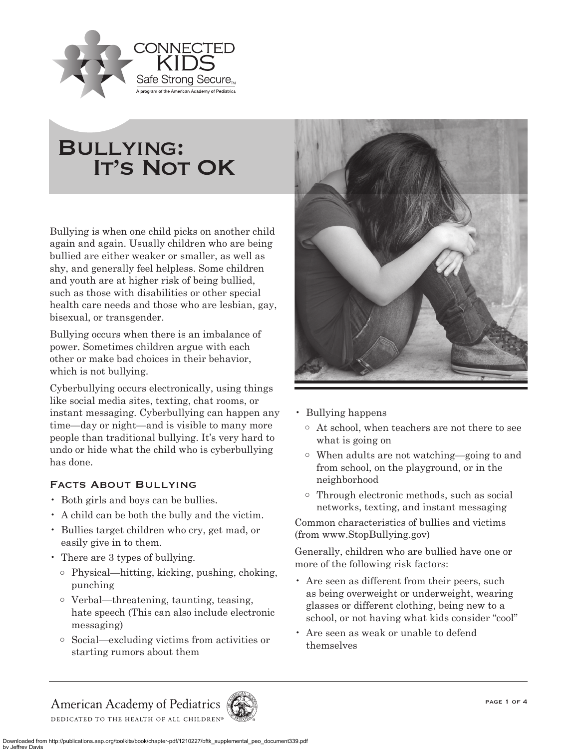

# Bullying: **IT's NOT OK**

Bullying is when one child picks on another child again and again. Usually children who are being bullied are either weaker or smaller, as well as shy, and generally feel helpless. Some children and youth are at higher risk of being bullied, such as those with disabilities or other special health care needs and those who are lesbian, gay, bisexual, or transgender.

Bullying occurs when there is an imbalance of power. Sometimes children argue with each other or make bad choices in their behavior, which is not bullying.

Cyberbullying occurs electronically, using things like social media sites, texting, chat rooms, or instant messaging. Cyberbullying can happen any time—day or night—and is visible to many more people than traditional bullying. It's very hard to undo or hide what the child who is cyberbullying has done.

# Facts About Bullying

- Both girls and boys can be bullies.
- A child can be both the bully and the victim.
- Bullies target children who cry, get mad, or easily give in to them.
- There are 3 types of bullying.
	- o Physical—hitting, kicking, pushing, choking, punching
	- o Verbal—threatening, taunting, teasing, hate speech (This can also include electronic messaging)
	- o Social—excluding victims from activities or starting rumors about them



- Bullying happens
	- o At school, when teachers are not there to see what is going on
	- o When adults are not watching—going to and from school, on the playground, or in the neighborhood
	- o Through electronic methods, such as social networks, texting, and instant messaging

Common characteristics of bullies and victims (from www.StopBullying.gov)

Generally, children who are bullied have one or more of the following risk factors:

- Are seen as different from their peers, such as being overweight or underweight, wearing glasses or different clothing, being new to a school, or not having what kids consider "cool"
- Are seen as weak or unable to defend themselves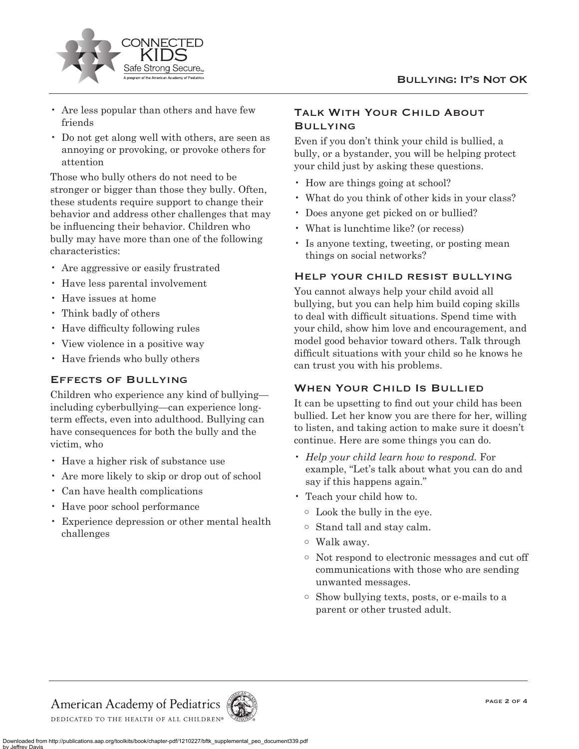

- Are less popular than others and have few friends
- Do not get along well with others, are seen as annoying or provoking, or provoke others for attention

Those who bully others do not need to be stronger or bigger than those they bully. Often, these students require support to change their behavior and address other challenges that may be influencing their behavior. Children who bully may have more than one of the following characteristics:

- Are aggressive or easily frustrated
- Have less parental involvement
- Have issues at home
- Think badly of others
- Have difficulty following rules
- View violence in a positive way
- Have friends who bully others

### Effects of Bullying

Children who experience any kind of bullying including cyberbullying—can experience longterm effects, even into adulthood. Bullying can have consequences for both the bully and the victim, who

- Have a higher risk of substance use
- Are more likely to skip or drop out of school
- Can have health complications
- Have poor school performance
- Experience depression or other mental health challenges

## Talk With Your Child About **BULLYING**

Even if you don't think your child is bullied, a bully, or a bystander, you will be helping protect your child just by asking these questions.

- How are things going at school?
- What do you think of other kids in your class?
- Does anyone get picked on or bullied?
- What is lunchtime like? (or recess)
- Is anyone texting, tweeting, or posting mean things on social networks?

#### Help your child resist bullying

You cannot always help your child avoid all bullying, but you can help him build coping skills to deal with difficult situations. Spend time with your child, show him love and encouragement, and model good behavior toward others. Talk through difficult situations with your child so he knows he can trust you with his problems.

## When Your Child Is Bullied

It can be upsetting to find out your child has been bullied. Let her know you are there for her, willing to listen, and taking action to make sure it doesn't continue. Here are some things you can do.

- *Help your child learn how to respond.* For example, "Let's talk about what you can do and say if this happens again."
- Teach your child how to.
	- o Look the bully in the eye.
	- o Stand tall and stay calm.
	- o Walk away.
	- o Not respond to electronic messages and cut off communications with those who are sending unwanted messages.
	- o Show bullying texts, posts, or e-mails to a parent or other trusted adult.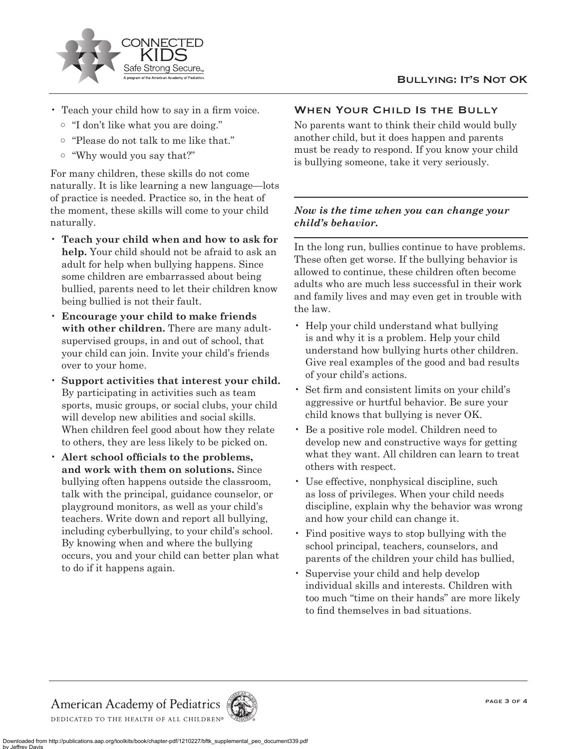

- Teach your child how to say in a firm voice.
	- o "I don't like what you are doing."
	- o "Please do not talk to me like that."
	- o "Why would you say that?"

For many children, these skills do not come naturally. It is like learning a new language—lots of practice is needed. Practice so, in the heat of the moment, these skills will come to your child naturally.

- **Teach your child when and how to ask for help.** Your child should not be afraid to ask an adult for help when bullying happens. Since some children are embarrassed about being bullied, parents need to let their children know being bullied is not their fault.
- **Encourage your child to make friends with other children.** There are many adultsupervised groups, in and out of school, that your child can join. Invite your child's friends over to your home.
- **Support activities that interest your child.** By participating in activities such as team sports, music groups, or social clubs, your child will develop new abilities and social skills. When children feel good about how they relate to others, they are less likely to be picked on.
- **Alert school officials to the problems, and work with them on solutions.** Since bullying often happens outside the classroom, talk with the principal, guidance counselor, or playground monitors, as well as your child's teachers. Write down and report all bullying, including cyberbullying, to your child's school. By knowing when and where the bullying occurs, you and your child can better plan what to do if it happens again.

# WHEN YOUR CHILD IS THE BULLY

No parents want to think their child would bully another child, but it does happen and parents must be ready to respond. If you know your child is bullying someone, take it very seriously.

# *Now is the time when you can change your child's behavior.*

In the long run, bullies continue to have problems. These often get worse. If the bullying behavior is allowed to continue, these children often become adults who are much less successful in their work and family lives and may even get in trouble with the law.

- Help your child understand what bullying is and why it is a problem. Help your child understand how bullying hurts other children. Give real examples of the good and bad results of your child's actions.
- Set firm and consistent limits on your child's aggressive or hurtful behavior. Be sure your child knows that bullying is never OK.
- Be a positive role model. Children need to develop new and constructive ways for getting what they want. All children can learn to treat others with respect.
- Use effective, nonphysical discipline, such as loss of privileges. When your child needs discipline, explain why the behavior was wrong and how your child can change it.
- Find positive ways to stop bullying with the school principal, teachers, counselors, and parents of the children your child has bullied,
- Supervise your child and help develop individual skills and interests. Children with too much "time on their hands" are more likely to find themselves in bad situations.